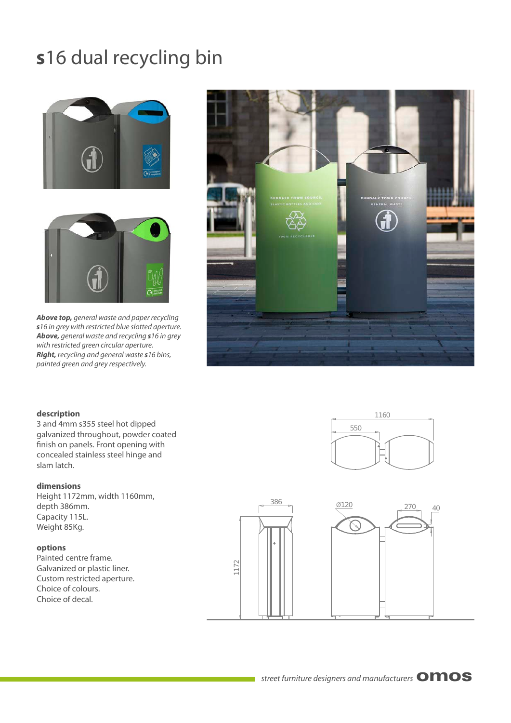# **s**16 dual recycling bin





*Above top, general waste and paper recycling s16 in grey with restricted blue slotted aperture. Above, general waste and recycling s16 in grey with restricted green circular aperture. Right, recycling and general waste s16 bins, painted green and grey respectively.*



#### **description**

3 and 4mm s355 steel hot dipped galvanized throughout, powder coated finish on panels. Front opening with concealed stainless steel hinge and slam latch.

#### **dimensions**

Height 1172mm, width 1160mm, depth 386mm. Capacity 115L. Weight 85Kg.

#### **options**

Painted centre frame. Galvanized or plastic liner. Custom restricted aperture. Choice of colours. Choice of decal.



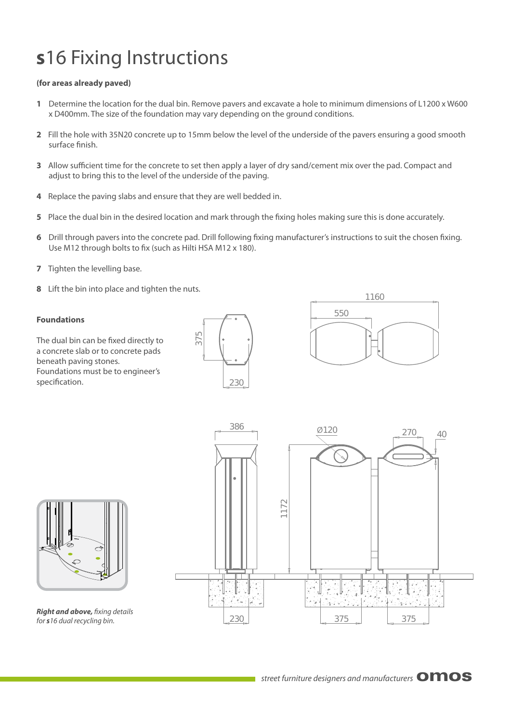### Ø120 386 **s**16 Fixing Instructions

### **(for areas already paved)**

- **1** Determine the location for the dual bin. Remove pavers and excavate a hole to minimum dimensions of L1200 x W600 x D400mm. The size of the foundation may vary depending on the ground conditions.
- **2** Fill the hole with 35N20 concrete up to 15mm below the level of the underside of the pavers ensuring a good smooth surface finish.
- **3** Allow sufficient time for the concrete to set then apply a layer of dry sand/cement mix over the pad. Compact and adjust to bring this to the level of the underside of the paving.
- **4** Replace the paving slabs and ensure that they are well bedded in.
- **5** Place the dual bin in the desired location and mark through the fixing holes making sure this is done accurately.
- **6** Drill through pavers into the concrete pad. Drill following fixing manufacturer's instructions to suit the chosen fixing. Use M12 through bolts to fix (such as Hilti HSA M12 x 180).
- **7** Tighten the levelling base.
- **8** Lift the bin into place and tighten the nuts.

#### **Foundations**

The dual bin can be fixed directly to a concrete slab or to concrete pads beneath paving stones. Foundations must be to engineer's specification.







*Right and above, fixing details for s16 dual recycling bin.*